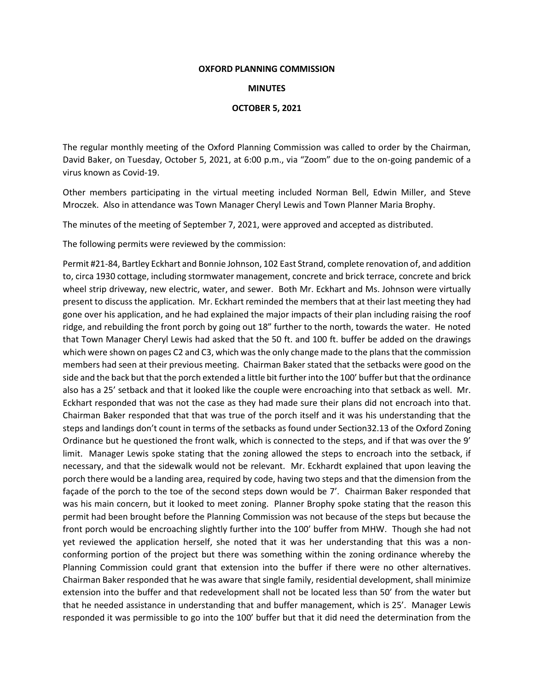## **OXFORD PLANNING COMMISSION**

## **MINUTES**

## **OCTOBER 5, 2021**

The regular monthly meeting of the Oxford Planning Commission was called to order by the Chairman, David Baker, on Tuesday, October 5, 2021, at 6:00 p.m., via "Zoom" due to the on-going pandemic of a virus known as Covid-19.

Other members participating in the virtual meeting included Norman Bell, Edwin Miller, and Steve Mroczek. Also in attendance was Town Manager Cheryl Lewis and Town Planner Maria Brophy.

The minutes of the meeting of September 7, 2021, were approved and accepted as distributed.

The following permits were reviewed by the commission:

Permit #21-84, Bartley Eckhart and Bonnie Johnson, 102 East Strand, complete renovation of, and addition to, circa 1930 cottage, including stormwater management, concrete and brick terrace, concrete and brick wheel strip driveway, new electric, water, and sewer. Both Mr. Eckhart and Ms. Johnson were virtually present to discuss the application. Mr. Eckhart reminded the members that at their last meeting they had gone over his application, and he had explained the major impacts of their plan including raising the roof ridge, and rebuilding the front porch by going out 18" further to the north, towards the water. He noted that Town Manager Cheryl Lewis had asked that the 50 ft. and 100 ft. buffer be added on the drawings which were shown on pages C2 and C3, which was the only change made to the plans that the commission members had seen at their previous meeting. Chairman Baker stated that the setbacks were good on the side and the back but that the porch extended a little bit further into the 100' buffer but that the ordinance also has a 25' setback and that it looked like the couple were encroaching into that setback as well. Mr. Eckhart responded that was not the case as they had made sure their plans did not encroach into that. Chairman Baker responded that that was true of the porch itself and it was his understanding that the steps and landings don't count in terms of the setbacks as found under Section32.13 of the Oxford Zoning Ordinance but he questioned the front walk, which is connected to the steps, and if that was over the 9' limit. Manager Lewis spoke stating that the zoning allowed the steps to encroach into the setback, if necessary, and that the sidewalk would not be relevant. Mr. Eckhardt explained that upon leaving the porch there would be a landing area, required by code, having two steps and that the dimension from the façade of the porch to the toe of the second steps down would be 7'. Chairman Baker responded that was his main concern, but it looked to meet zoning. Planner Brophy spoke stating that the reason this permit had been brought before the Planning Commission was not because of the steps but because the front porch would be encroaching slightly further into the 100' buffer from MHW. Though she had not yet reviewed the application herself, she noted that it was her understanding that this was a nonconforming portion of the project but there was something within the zoning ordinance whereby the Planning Commission could grant that extension into the buffer if there were no other alternatives. Chairman Baker responded that he was aware that single family, residential development, shall minimize extension into the buffer and that redevelopment shall not be located less than 50' from the water but that he needed assistance in understanding that and buffer management, which is 25'. Manager Lewis responded it was permissible to go into the 100' buffer but that it did need the determination from the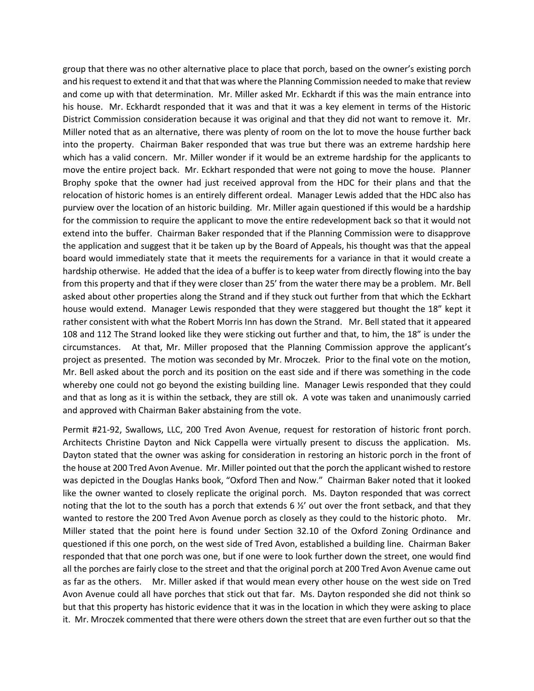group that there was no other alternative place to place that porch, based on the owner's existing porch and his request to extend it and that that was where the Planning Commission needed to make that review and come up with that determination. Mr. Miller asked Mr. Eckhardt if this was the main entrance into his house. Mr. Eckhardt responded that it was and that it was a key element in terms of the Historic District Commission consideration because it was original and that they did not want to remove it. Mr. Miller noted that as an alternative, there was plenty of room on the lot to move the house further back into the property. Chairman Baker responded that was true but there was an extreme hardship here which has a valid concern. Mr. Miller wonder if it would be an extreme hardship for the applicants to move the entire project back. Mr. Eckhart responded that were not going to move the house. Planner Brophy spoke that the owner had just received approval from the HDC for their plans and that the relocation of historic homes is an entirely different ordeal. Manager Lewis added that the HDC also has purview over the location of an historic building. Mr. Miller again questioned if this would be a hardship for the commission to require the applicant to move the entire redevelopment back so that it would not extend into the buffer. Chairman Baker responded that if the Planning Commission were to disapprove the application and suggest that it be taken up by the Board of Appeals, his thought was that the appeal board would immediately state that it meets the requirements for a variance in that it would create a hardship otherwise. He added that the idea of a buffer is to keep water from directly flowing into the bay from this property and that if they were closer than 25' from the water there may be a problem. Mr. Bell asked about other properties along the Strand and if they stuck out further from that which the Eckhart house would extend. Manager Lewis responded that they were staggered but thought the 18" kept it rather consistent with what the Robert Morris Inn has down the Strand. Mr. Bell stated that it appeared 108 and 112 The Strand looked like they were sticking out further and that, to him, the 18" is under the circumstances. At that, Mr. Miller proposed that the Planning Commission approve the applicant's project as presented. The motion was seconded by Mr. Mroczek. Prior to the final vote on the motion, Mr. Bell asked about the porch and its position on the east side and if there was something in the code whereby one could not go beyond the existing building line. Manager Lewis responded that they could and that as long as it is within the setback, they are still ok. A vote was taken and unanimously carried and approved with Chairman Baker abstaining from the vote.

Permit #21-92, Swallows, LLC, 200 Tred Avon Avenue, request for restoration of historic front porch. Architects Christine Dayton and Nick Cappella were virtually present to discuss the application. Ms. Dayton stated that the owner was asking for consideration in restoring an historic porch in the front of the house at 200 Tred Avon Avenue. Mr. Miller pointed out that the porch the applicant wished to restore was depicted in the Douglas Hanks book, "Oxford Then and Now." Chairman Baker noted that it looked like the owner wanted to closely replicate the original porch. Ms. Dayton responded that was correct noting that the lot to the south has a porch that extends 6 ½' out over the front setback, and that they wanted to restore the 200 Tred Avon Avenue porch as closely as they could to the historic photo. Mr. Miller stated that the point here is found under Section 32.10 of the Oxford Zoning Ordinance and questioned if this one porch, on the west side of Tred Avon, established a building line. Chairman Baker responded that that one porch was one, but if one were to look further down the street, one would find all the porches are fairly close to the street and that the original porch at 200 Tred Avon Avenue came out as far as the others. Mr. Miller asked if that would mean every other house on the west side on Tred Avon Avenue could all have porches that stick out that far. Ms. Dayton responded she did not think so but that this property has historic evidence that it was in the location in which they were asking to place it. Mr. Mroczek commented that there were others down the street that are even further out so that the